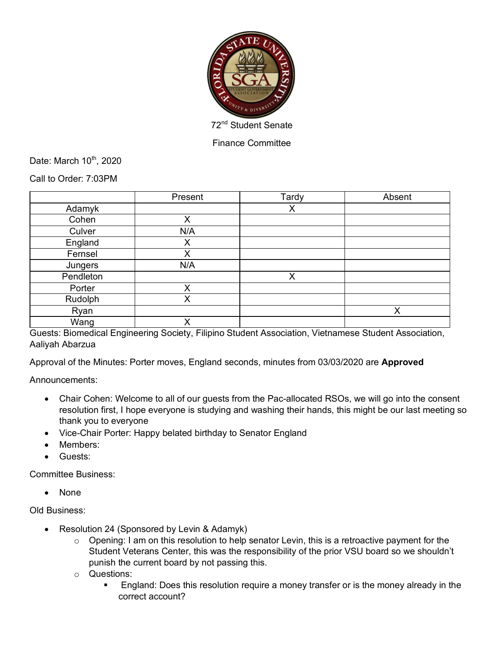

Finance Committee

Date: March  $10^{th}$ , 2020

Call to Order: 7:03PM

|           | Present | Tardy | Absent |
|-----------|---------|-------|--------|
| Adamyk    |         | X     |        |
| Cohen     | X       |       |        |
| Culver    | N/A     |       |        |
| England   | Χ       |       |        |
| Fernsel   | Χ       |       |        |
| Jungers   | N/A     |       |        |
| Pendleton |         | X     |        |
| Porter    | X       |       |        |
| Rudolph   | Χ       |       |        |
| Ryan      |         |       | X      |
| Wang      | X       |       |        |

Guests: Biomedical Engineering Society, Filipino Student Association, Vietnamese Student Association, Aaliyah Abarzua

Approval of the Minutes: Porter moves, England seconds, minutes from 03/03/2020 are **Approved**

Announcements:

- Chair Cohen: Welcome to all of our guests from the Pac-allocated RSOs, we will go into the consent resolution first, I hope everyone is studying and washing their hands, this might be our last meeting so thank you to everyone
- Vice-Chair Porter: Happy belated birthday to Senator England
- Members:
- Guests:

Committee Business:

• None

Old Business:

- Resolution 24 (Sponsored by Levin & Adamyk)
	- $\circ$  Opening: I am on this resolution to help senator Levin, this is a retroactive payment for the Student Veterans Center, this was the responsibility of the prior VSU board so we shouldn't punish the current board by not passing this.
	- o Questions:
		- **England: Does this resolution require a money transfer or is the money already in the** correct account?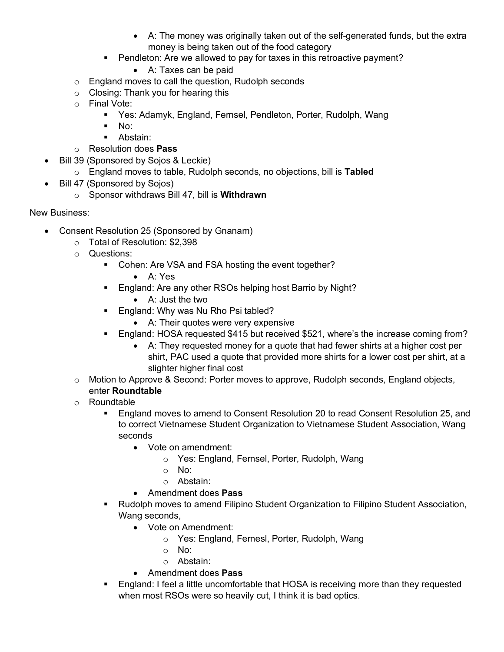- A: The money was originally taken out of the self-generated funds, but the extra money is being taken out of the food category
- Pendleton: Are we allowed to pay for taxes in this retroactive payment?
	- A: Taxes can be paid
- o England moves to call the question, Rudolph seconds
- o Closing: Thank you for hearing this
- o Final Vote:
	- Yes: Adamyk, England, Fernsel, Pendleton, Porter, Rudolph, Wang
	- § No:
	- Abstain:
- o Resolution does **Pass**
- Bill 39 (Sponsored by Sojos & Leckie)
	- o England moves to table, Rudolph seconds, no objections, bill is **Tabled**
- Bill 47 (Sponsored by Sojos)
	- o Sponsor withdraws Bill 47, bill is **Withdrawn**

New Business:

- Consent Resolution 25 (Sponsored by Gnanam)
	- o Total of Resolution: \$2,398
	- o Questions:
		- Cohen: Are VSA and FSA hosting the event together?
			- A: Yes
		- England: Are any other RSOs helping host Barrio by Night?
			- A: Just the two
		- England: Why was Nu Rho Psi tabled?
			- A: Their quotes were very expensive
		- § England: HOSA requested \$415 but received \$521, where's the increase coming from?
			- A: They requested money for a quote that had fewer shirts at a higher cost per shirt, PAC used a quote that provided more shirts for a lower cost per shirt, at a slighter higher final cost
	- $\circ$  Motion to Approve & Second: Porter moves to approve, Rudolph seconds, England objects, enter **Roundtable**
	- o Roundtable
		- § England moves to amend to Consent Resolution 20 to read Consent Resolution 25, and to correct Vietnamese Student Organization to Vietnamese Student Association, Wang seconds
			- Vote on amendment:
				- o Yes: England, Fernsel, Porter, Rudolph, Wang
				- o No:
				- o Abstain:
			- Amendment does **Pass**
		- § Rudolph moves to amend Filipino Student Organization to Filipino Student Association, Wang seconds,
			- Vote on Amendment:
				- o Yes: England, Fernesl, Porter, Rudolph, Wang
				- o No:
				- o Abstain:
			- Amendment does **Pass**
		- England: I feel a little uncomfortable that HOSA is receiving more than they requested when most RSOs were so heavily cut, I think it is bad optics.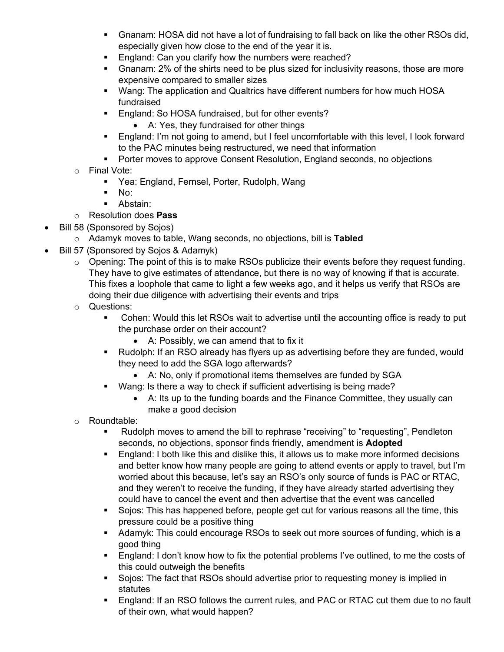- § Gnanam: HOSA did not have a lot of fundraising to fall back on like the other RSOs did, especially given how close to the end of the year it is.
- England: Can you clarify how the numbers were reached?
- Gnanam: 2% of the shirts need to be plus sized for inclusivity reasons, those are more expensive compared to smaller sizes
- § Wang: The application and Qualtrics have different numbers for how much HOSA fundraised
- England: So HOSA fundraised, but for other events?
	- A: Yes, they fundraised for other things
- § England: I'm not going to amend, but I feel uncomfortable with this level, I look forward to the PAC minutes being restructured, we need that information
- Porter moves to approve Consent Resolution, England seconds, no objections
- o Final Vote:
	- Yea: England, Fernsel, Porter, Rudolph, Wang
	- $\blacksquare$  No:
	- Abstain:
- o Resolution does **Pass**
- Bill 58 (Sponsored by Sojos)
	- o Adamyk moves to table, Wang seconds, no objections, bill is **Tabled**
- Bill 57 (Sponsored by Sojos & Adamyk)
	- $\circ$  Opening: The point of this is to make RSOs publicize their events before they request funding. They have to give estimates of attendance, but there is no way of knowing if that is accurate. This fixes a loophole that came to light a few weeks ago, and it helps us verify that RSOs are doing their due diligence with advertising their events and trips
	- o Questions:
		- § Cohen: Would this let RSOs wait to advertise until the accounting office is ready to put the purchase order on their account?
			- A: Possibly, we can amend that to fix it
		- Rudolph: If an RSO already has flyers up as advertising before they are funded, would they need to add the SGA logo afterwards?
			- A: No, only if promotional items themselves are funded by SGA
		- Wang: Is there a way to check if sufficient advertising is being made?
			- A: Its up to the funding boards and the Finance Committee, they usually can make a good decision
	- o Roundtable:
		- § Rudolph moves to amend the bill to rephrase "receiving" to "requesting", Pendleton seconds, no objections, sponsor finds friendly, amendment is **Adopted**
		- § England: I both like this and dislike this, it allows us to make more informed decisions and better know how many people are going to attend events or apply to travel, but I'm worried about this because, let's say an RSO's only source of funds is PAC or RTAC, and they weren't to receive the funding, if they have already started advertising they could have to cancel the event and then advertise that the event was cancelled
		- § Sojos: This has happened before, people get cut for various reasons all the time, this pressure could be a positive thing
		- Adamyk: This could encourage RSOs to seek out more sources of funding, which is a good thing
		- § England: I don't know how to fix the potential problems I've outlined, to me the costs of this could outweigh the benefits
		- Sojos: The fact that RSOs should advertise prior to requesting money is implied in statutes
		- § England: If an RSO follows the current rules, and PAC or RTAC cut them due to no fault of their own, what would happen?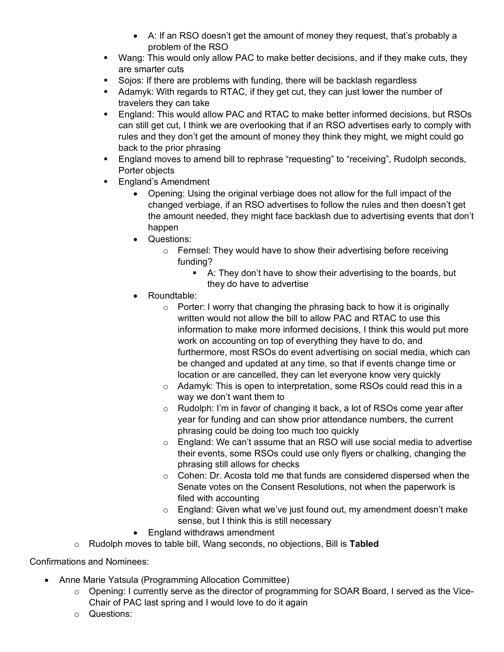- A: If an RSO doesn't get the amount of money they request, that's probably a problem of the RSO
- Wang: This would only allow PAC to make better decisions, and if they make cuts, they are smarter cuts
- § Sojos: If there are problems with funding, there will be backlash regardless
- § Adamyk: With regards to RTAC, if they get cut, they can just lower the number of travelers they can take
- England: This would allow PAC and RTAC to make better informed decisions, but RSOs can still get cut, I think we are overlooking that if an RSO advertises early to comply with rules and they don't get the amount of money they think they might, we might could go back to the prior phrasing
- England moves to amend bill to rephrase "requesting" to "receiving", Rudolph seconds, Porter objects
- England's Amendment
	- Opening: Using the original verbiage does not allow for the full impact of the changed verbiage, if an RSO advertises to follow the rules and then doesn't get the amount needed, they might face backlash due to advertising events that don't happen
	- Questions:
		- o Fernsel: They would have to show their advertising before receiving funding?
			- A: They don't have to show their advertising to the boards, but they do have to advertise
	- Roundtable:
		- $\circ$  Porter: I worry that changing the phrasing back to how it is originally written would not allow the bill to allow PAC and RTAC to use this information to make more informed decisions, I think this would put more work on accounting on top of everything they have to do, and furthermore, most RSOs do event advertising on social media, which can be changed and updated at any time, so that if events change time or location or are cancelled, they can let everyone know very quickly
		- o Adamyk: This is open to interpretation, some RSOs could read this in a way we don't want them to
		- o Rudolph: I'm in favor of changing it back, a lot of RSOs come year after year for funding and can show prior attendance numbers, the current phrasing could be doing too much too quickly
		- $\circ$  England: We can't assume that an RSO will use social media to advertise their events, some RSOs could use only flyers or chalking, changing the phrasing still allows for checks
		- o Cohen: Dr. Acosta told me that funds are considered dispersed when the Senate votes on the Consent Resolutions, not when the paperwork is filed with accounting
		- o England: Given what we've just found out, my amendment doesn't make sense, but I think this is still necessary
	- England withdraws amendment
- o Rudolph moves to table bill, Wang seconds, no objections, Bill is **Tabled**

Confirmations and Nominees:

- Anne Marie Yatsula (Programming Allocation Committee)
	- $\circ$  Opening: I currently serve as the director of programming for SOAR Board, I served as the Vice-Chair of PAC last spring and I would love to do it again
	- o Questions: